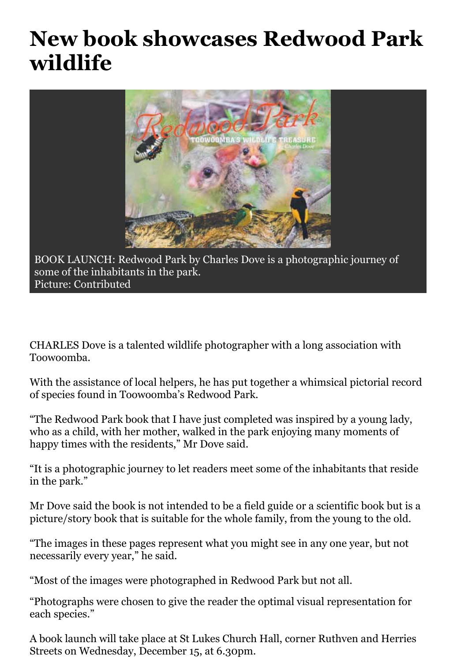## **New book showcases Redwood Park wildlife**



BOOK LAUNCH: Redwood Park by Charles Dove is a photographic journey of some of the inhabitants in the park. Picture: Contributed

CHARLES Dove is a talented wildlife photographer with a long association with Toowoomba.

With the assistance of local helpers, he has put together a whimsical pictorial record of species found in Toowoomba's Redwood Park.

"The Redwood Park book that I have just completed was inspired by a young lady, who as a child, with her mother, walked in the park enjoying many moments of happy times with the residents," Mr Dove said.

"It is a photographic journey to let readers meet some of the inhabitants that reside in the park."

Mr Dove said the book is not intended to be a field guide or a scientific book but is a picture/story book that is suitable for the whole family, from the young to the old.

"The images in these pages represent what you might see in any one year, but not necessarily every year," he said.

"Most of the images were photographed in Redwood Park but not all.

"Photographs were chosen to give the reader the optimal visual representation for each species."

A book launch will take place at St Lukes Church Hall, corner Ruthven and Herries Streets on Wednesday, December 15, at 6.30pm.